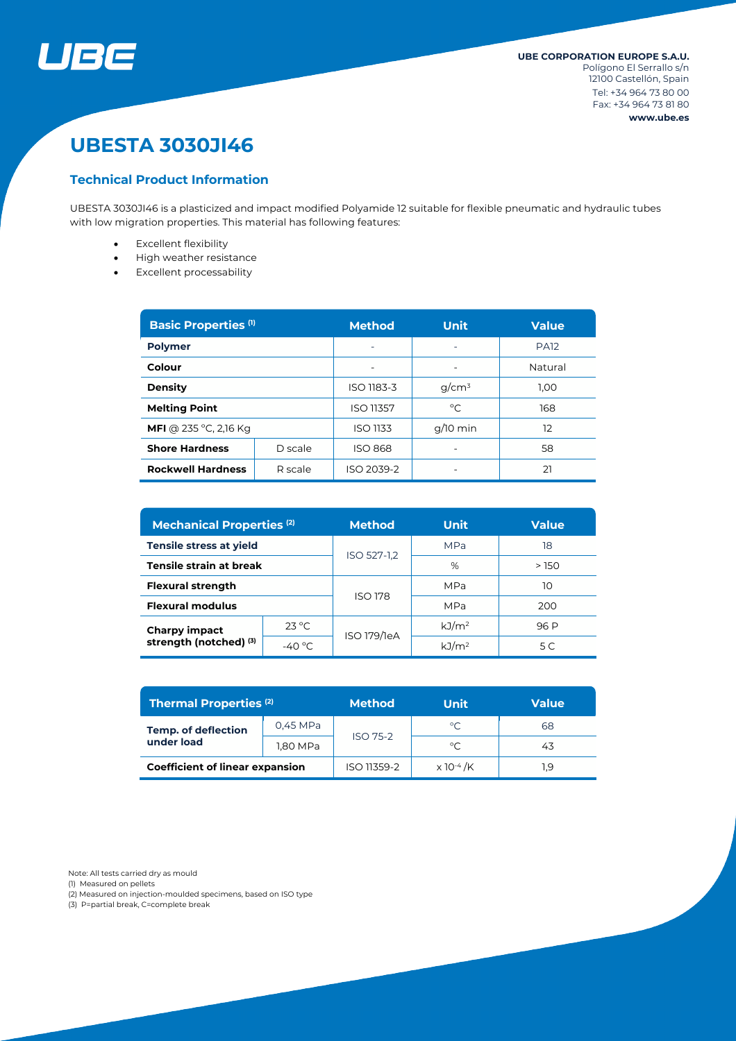

# **UBESTA 3030JI46**

# **Technical Product Information**

UBESTA 3030JI46 is a plasticized and impact modified Polyamide 12 suitable for flexible pneumatic and hydraulic tubes with low migration properties. This material has following features:

- Excellent flexibility
- High weather resistance
- Excellent processability

| <b>Basic Properties (1)</b>         |         | <b>Method</b>    | <b>Unit</b> | <b>Value</b> |  |
|-------------------------------------|---------|------------------|-------------|--------------|--|
| <b>Polymer</b>                      |         |                  |             | <b>PA12</b>  |  |
| Colour                              |         |                  |             | Natural      |  |
| <b>Density</b>                      |         | ISO 1183-3       | $q/cm^3$    | 1.00         |  |
| <b>Melting Point</b>                |         | <b>ISO 11357</b> | °C          | 168          |  |
| <b>MFI</b> @ 235 °C, 2,16 Kg        |         | <b>ISO 1133</b>  | $q/10$ min  | 12           |  |
| <b>Shore Hardness</b>               | D scale | <b>ISO 868</b>   |             | 58           |  |
| <b>Rockwell Hardness</b><br>R scale |         | ISO 2039-2       |             | 21           |  |

| <b>Mechanical Properties (2)</b>               |                 | Method         | <b>Unit</b>       | <b>Value</b> |  |
|------------------------------------------------|-----------------|----------------|-------------------|--------------|--|
| <b>Tensile stress at yield</b>                 |                 | ISO 527-1,2    | <b>MPa</b>        | 18           |  |
| Tensile strain at break                        |                 |                | %                 | >150         |  |
| <b>Flexural strength</b>                       |                 | <b>ISO 178</b> | MPa               | 10           |  |
| <b>Flexural modulus</b>                        |                 |                | MPa               | 200          |  |
| <b>Charpy impact</b><br>strength (notched) (3) | $23^{\circ}$ C  | ISO 179/1eA    | kJ/m <sup>2</sup> | 96 P         |  |
|                                                | $-40^{\circ}$ C |                | kJ/m <sup>2</sup> | 5 C          |  |

| <b>Thermal Properties (2)</b>            |          | <b>Method</b>   | Unit                         | Value |  |
|------------------------------------------|----------|-----------------|------------------------------|-------|--|
| <b>Temp. of deflection</b><br>under load | 0,45 MPa | <b>ISO 75-2</b> | $^{\circ}$ C                 | 68    |  |
|                                          | 1,80 MPa |                 | $^{\circ}$ C                 | 43    |  |
| <b>Coefficient of linear expansion</b>   |          | ISO 11359-2     | $\times$ 10 <sup>-4</sup> /K | 1.9   |  |

Note: All tests carried dry as mould

(1) Measured on pellets

(2) Measured on injection-moulded specimens, based on ISO type

(3) P=partial break, C=complete break